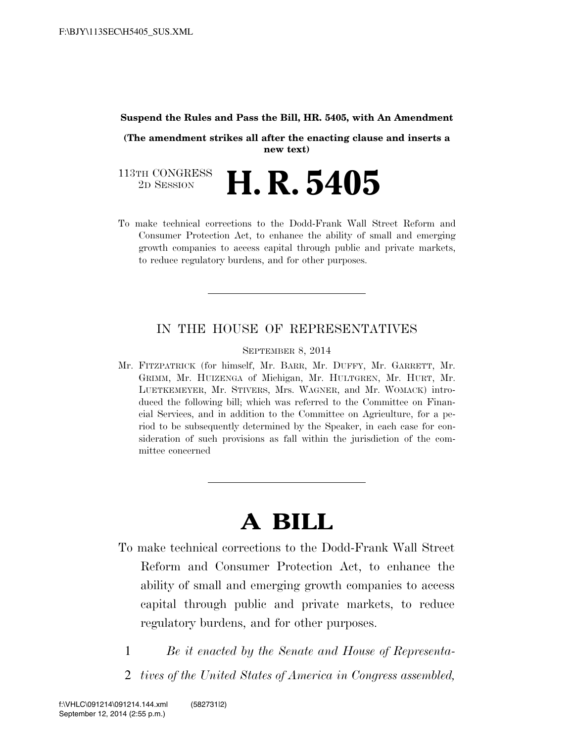#### **Suspend the Rules and Pass the Bill, HR. 5405, with An Amendment**

**(The amendment strikes all after the enacting clause and inserts a new text)**

113TH CONGRESS<br>2D SESSION 2D SESSION **H. R. 5405**

To make technical corrections to the Dodd-Frank Wall Street Reform and Consumer Protection Act, to enhance the ability of small and emerging growth companies to access capital through public and private markets, to reduce regulatory burdens, and for other purposes.

## IN THE HOUSE OF REPRESENTATIVES

SEPTEMBER 8, 2014

Mr. FITZPATRICK (for himself, Mr. BARR, Mr. DUFFY, Mr. GARRETT, Mr. GRIMM, Mr. HUIZENGA of Michigan, Mr. HULTGREN, Mr. HURT, Mr. LUETKEMEYER, Mr. STIVERS, Mrs. WAGNER, and Mr. WOMACK) introduced the following bill; which was referred to the Committee on Financial Services, and in addition to the Committee on Agriculture, for a period to be subsequently determined by the Speaker, in each case for consideration of such provisions as fall within the jurisdiction of the committee concerned

# **A BILL**

- To make technical corrections to the Dodd-Frank Wall Street Reform and Consumer Protection Act, to enhance the ability of small and emerging growth companies to access capital through public and private markets, to reduce regulatory burdens, and for other purposes.
	- 1 *Be it enacted by the Senate and House of Representa-*
	- 2 *tives of the United States of America in Congress assembled,*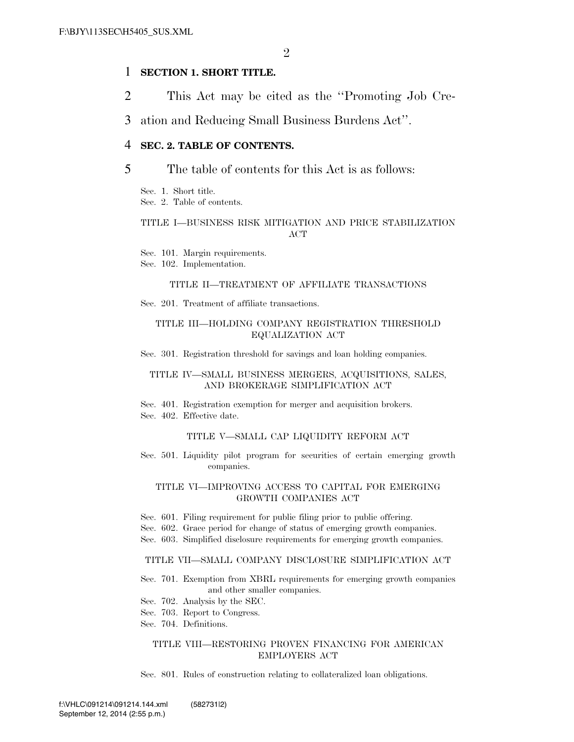## 1 **SECTION 1. SHORT TITLE.**

2 This Act may be cited as the ''Promoting Job Cre-

3 ation and Reducing Small Business Burdens Act''.

### 4 **SEC. 2. TABLE OF CONTENTS.**

### 5 The table of contents for this Act is as follows:

Sec. 1. Short title.

Sec. 2. Table of contents.

### TITLE I—BUSINESS RISK MITIGATION AND PRICE STABILIZATION **ACT**

Sec. 101. Margin requirements.

Sec. 102. Implementation.

### TITLE II—TREATMENT OF AFFILIATE TRANSACTIONS

Sec. 201. Treatment of affiliate transactions.

### TITLE III—HOLDING COMPANY REGISTRATION THRESHOLD EQUALIZATION ACT

Sec. 301. Registration threshold for savings and loan holding companies.

#### TITLE IV—SMALL BUSINESS MERGERS, ACQUISITIONS, SALES, AND BROKERAGE SIMPLIFICATION ACT

Sec. 401. Registration exemption for merger and acquisition brokers. Sec. 402. Effective date.

#### TITLE V—SMALL CAP LIQUIDITY REFORM ACT

Sec. 501. Liquidity pilot program for securities of certain emerging growth companies.

#### TITLE VI—IMPROVING ACCESS TO CAPITAL FOR EMERGING GROWTH COMPANIES ACT

- Sec. 601. Filing requirement for public filing prior to public offering.
- Sec. 602. Grace period for change of status of emerging growth companies.
- Sec. 603. Simplified disclosure requirements for emerging growth companies.

#### TITLE VII—SMALL COMPANY DISCLOSURE SIMPLIFICATION ACT

- Sec. 701. Exemption from XBRL requirements for emerging growth companies and other smaller companies.
- Sec. 702. Analysis by the SEC.
- Sec. 703. Report to Congress.
- Sec. 704. Definitions.

#### TITLE VIII—RESTORING PROVEN FINANCING FOR AMERICAN EMPLOYERS ACT

Sec. 801. Rules of construction relating to collateralized loan obligations.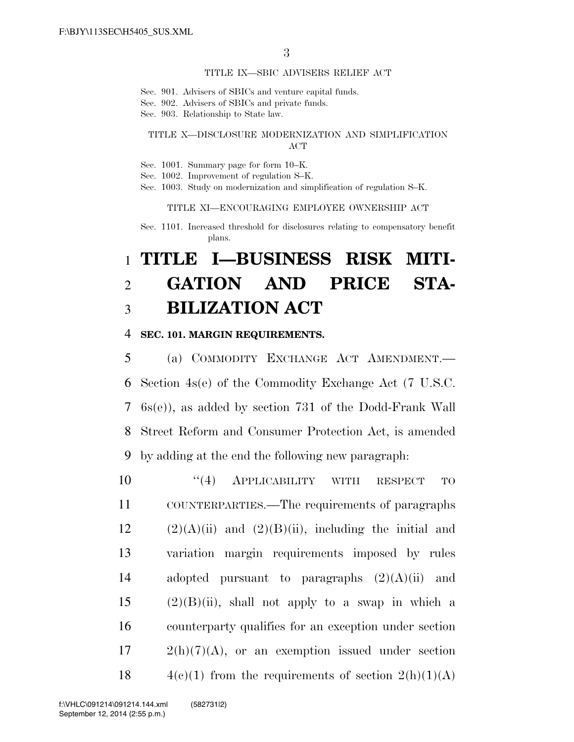#### TITLE IX—SBIC ADVISERS RELIEF ACT

Sec. 901. Advisers of SBICs and venture capital funds.

- Sec. 902. Advisers of SBICs and private funds.
- Sec. 903. Relationship to State law.

### TITLE X—DISCLOSURE MODERNIZATION AND SIMPLIFICATION ACT

- Sec. 1001. Summary page for form 10–K.
- Sec. 1002. Improvement of regulation S–K.
- Sec. 1003. Study on modernization and simplification of regulation S–K.

TITLE XI—ENCOURAGING EMPLOYEE OWNERSHIP ACT

Sec. 1101. Increased threshold for disclosures relating to compensatory benefit plans.

## 1 **TITLE I—BUSINESS RISK MITI-**2 **GATION AND PRICE STA-**3 **BILIZATION ACT**

### 4 **SEC. 101. MARGIN REQUIREMENTS.**

 (a) COMMODITY EXCHANGE ACT AMENDMENT.— Section 4s(e) of the Commodity Exchange Act (7 U.S.C. 6s(e)), as added by section 731 of the Dodd-Frank Wall Street Reform and Consumer Protection Act, is amended by adding at the end the following new paragraph:

 $((4)$  APPLICABILITY WITH RESPECT TO COUNTERPARTIES.—The requirements of paragraphs  $(2)(A)(ii)$  and  $(2)(B)(ii)$ , including the initial and variation margin requirements imposed by rules 14 adopted pursuant to paragraphs  $(2)(A)(ii)$  and (2)(B)(ii), shall not apply to a swap in which a counterparty qualifies for an exception under section  $17 \qquad 2(h)(7)(A)$ , or an exemption issued under section  $4(c)(1)$  from the requirements of section  $2(h)(1)(A)$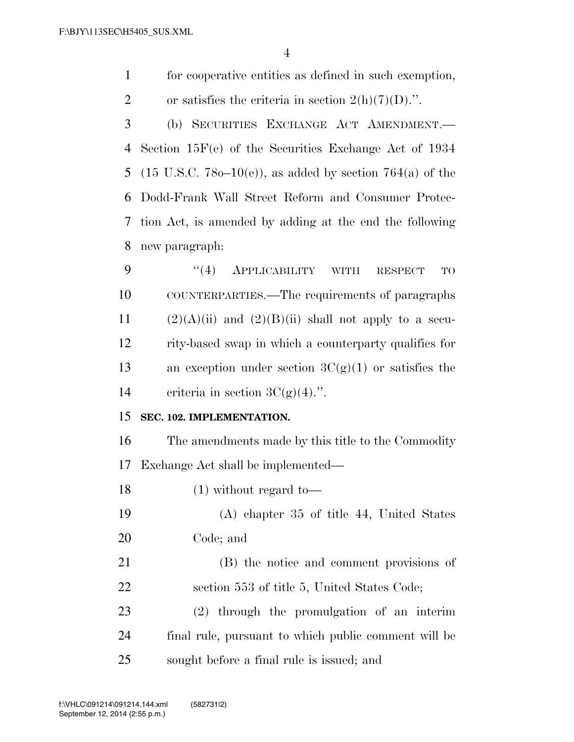for cooperative entities as defined in such exemption, 2 or satisfies the criteria in section  $2(h)(7)(D)$ .". (b) SECURITIES EXCHANGE ACT AMENDMENT.— Section 15F(e) of the Securities Exchange Act of 1934 5 (15 U.S.C. 78 $o-10(e)$ ), as added by section 764(a) of the Dodd-Frank Wall Street Reform and Consumer Protec-tion Act, is amended by adding at the end the following

new paragraph:

9 "(4) APPLICABILITY WITH RESPECT TO COUNTERPARTIES.—The requirements of paragraphs 11  $(2)(A)(ii)$  and  $(2)(B)(ii)$  shall not apply to a secu- rity-based swap in which a counterparty qualifies for 13 an exception under section  $3C(g)(1)$  or satisfies the 14 criteria in section  $3C(g)(4)$ .".

## **SEC. 102. IMPLEMENTATION.**

 The amendments made by this title to the Commodity Exchange Act shall be implemented—

(1) without regard to—

 (A) chapter 35 of title 44, United States Code; and

 (B) the notice and comment provisions of section 553 of title 5, United States Code; (2) through the promulgation of an interim

 final rule, pursuant to which public comment will be sought before a final rule is issued; and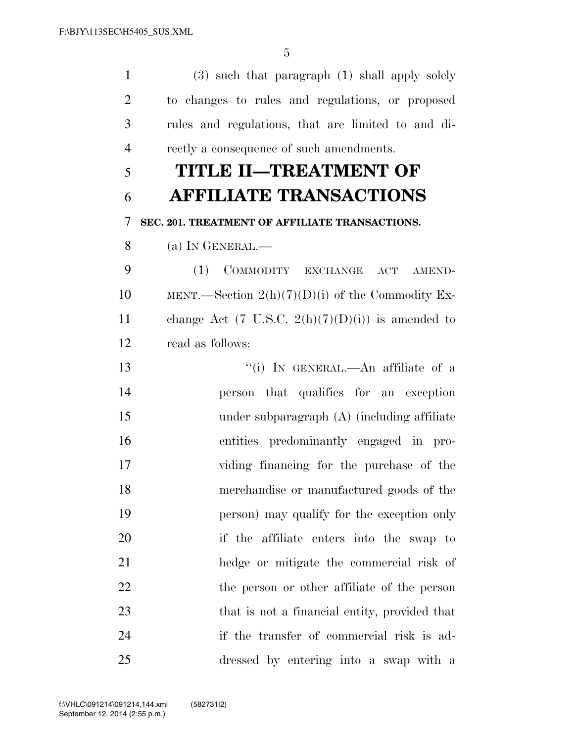(3) such that paragraph (1) shall apply solely to changes to rules and regulations, or proposed rules and regulations, that are limited to and di-rectly a consequence of such amendments.

## **TITLE II—TREATMENT OF AFFILIATE TRANSACTIONS**

# **SEC. 201. TREATMENT OF AFFILIATE TRANSACTIONS.**

(a) IN GENERAL.—

 (1) COMMODITY EXCHANGE ACT AMEND-10 MENT.—Section  $2(h)(7)(D)(i)$  of the Commodity Ex-11 change Act (7 U.S.C.  $2(h)(7)(D)(i)$ ) is amended to read as follows:

 ''(i) IN GENERAL.—An affiliate of a person that qualifies for an exception under subparagraph (A) (including affiliate entities predominantly engaged in pro- viding financing for the purchase of the merchandise or manufactured goods of the person) may qualify for the exception only if the affiliate enters into the swap to hedge or mitigate the commercial risk of 22 the person or other affiliate of the person 23 that is not a financial entity, provided that if the transfer of commercial risk is ad-dressed by entering into a swap with a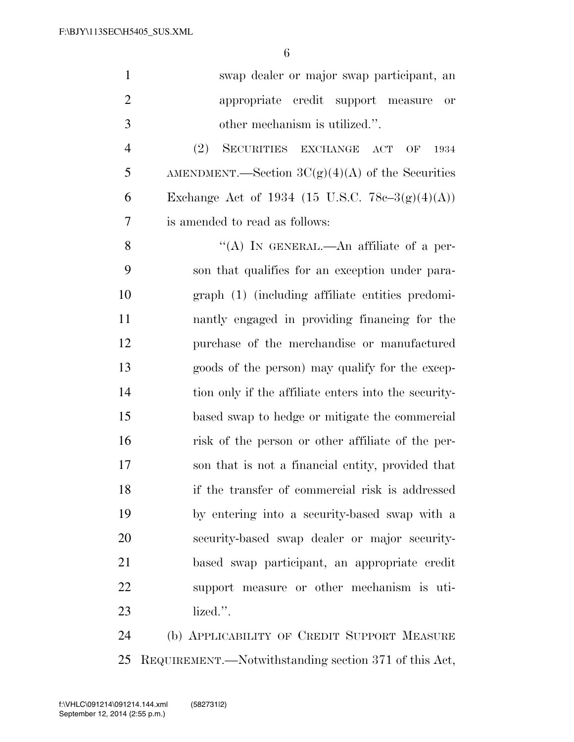| $\mathbf{1}$   | swap dealer or major swap participant, an                  |
|----------------|------------------------------------------------------------|
| $\overline{2}$ | appropriate credit support measure<br>or                   |
| 3              | other mechanism is utilized.".                             |
| $\overline{4}$ | (2)<br>SECURITIES EXCHANGE<br>$\mathbf{ACT}$<br>OF<br>1934 |
| 5              | AMENDMENT.—Section $3C(g)(4)(A)$ of the Securities         |
| 6              | Exchange Act of 1934 (15 U.S.C. 78c-3(g)(4)(A))            |
| 7              | is amended to read as follows:                             |
| 8              | "(A) IN GENERAL.—An affiliate of a per-                    |
| 9              | son that qualifies for an exception under para-            |
| 10             | graph (1) (including affiliate entities predomi-           |
| 11             | nantly engaged in providing financing for the              |
| 12             | purchase of the merchandise or manufactured                |
| 13             | goods of the person) may qualify for the excep-            |
| 14             | tion only if the affiliate enters into the security-       |
| 15             | based swap to hedge or mitigate the commercial             |
| 16             | risk of the person or other affiliate of the per-          |
| 17             | son that is not a financial entity, provided that          |
| 18             | if the transfer of commercial risk is addressed            |
| 19             | by entering into a security-based swap with a              |
| 20             | security-based swap dealer or major security-              |
| 21             | based swap participant, an appropriate credit              |
| 22             | support measure or other mechanism is uti-                 |
| 23             | lized.".                                                   |
| 24             | (b) APPLICABILITY OF CREDIT SUPPORT MEASURE                |
|                |                                                            |

REQUIREMENT.—Notwithstanding section 371 of this Act,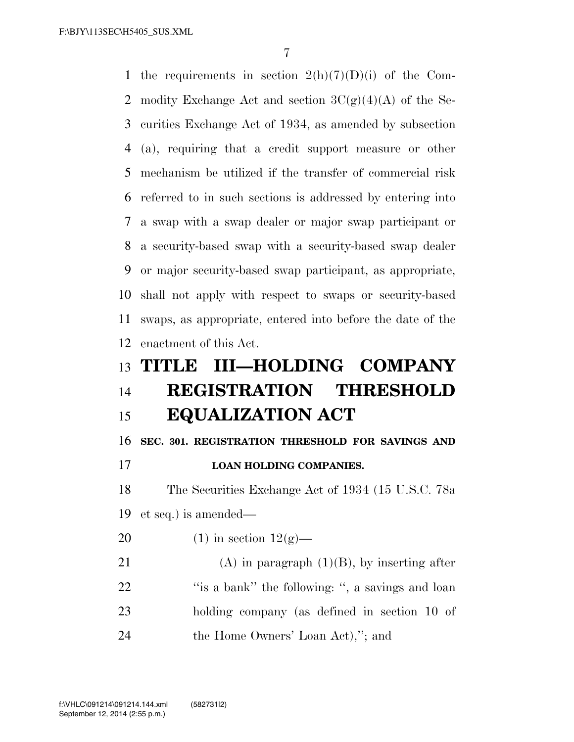F:\BJY\113SEC\H5405\_SUS.XML

1 the requirements in section  $2(h)(7)(D)(i)$  of the Com-2 modity Exchange Act and section  $3C(g)(4)(A)$  of the Se- curities Exchange Act of 1934, as amended by subsection (a), requiring that a credit support measure or other mechanism be utilized if the transfer of commercial risk referred to in such sections is addressed by entering into a swap with a swap dealer or major swap participant or a security-based swap with a security-based swap dealer or major security-based swap participant, as appropriate, shall not apply with respect to swaps or security-based swaps, as appropriate, entered into before the date of the enactment of this Act. **TITLE III—HOLDING COMPANY REGISTRATION THRESHOLD EQUALIZATION ACT SEC. 301. REGISTRATION THRESHOLD FOR SAVINGS AND LOAN HOLDING COMPANIES.**  The Securities Exchange Act of 1934 (15 U.S.C. 78a et seq.) is amended— 20 (1) in section  $12(g)$ —

21 (A) in paragraph  $(1)(B)$ , by inserting after 22 ''is a bank'' the following: ", a savings and loan holding company (as defined in section 10 of the Home Owners' Loan Act),''; and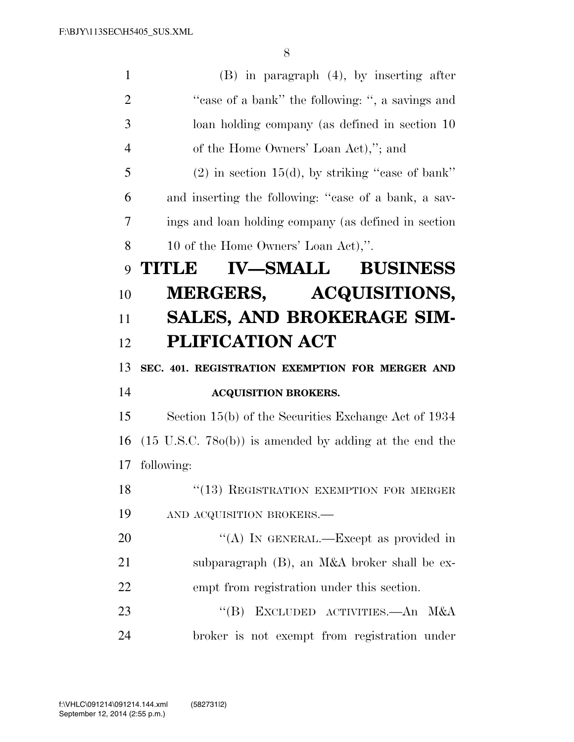| $\mathbf{1}$   | $(B)$ in paragraph $(4)$ , by inserting after                     |
|----------------|-------------------------------------------------------------------|
| $\overline{2}$ | "case of a bank" the following: ", a savings and                  |
| 3              | loan holding company (as defined in section 10                    |
| $\overline{4}$ | of the Home Owners' Loan Act),"; and                              |
| 5              | $(2)$ in section 15(d), by striking "case of bank"                |
| 6              | and inserting the following: "case of a bank, a sav-              |
| 7              | ings and loan holding company (as defined in section              |
| 8              | 10 of the Home Owners' Loan Act),".                               |
| 9              | <b>IV-SMALL BUSINESS</b><br><b>TITLE</b>                          |
| 10             | MERGERS, ACQUISITIONS,                                            |
| 11             | <b>SALES, AND BROKERAGE SIM-</b>                                  |
| 12             | <b>PLIFICATION ACT</b>                                            |
|                |                                                                   |
| 13             | SEC. 401. REGISTRATION EXEMPTION FOR MERGER AND                   |
| 14             | <b>ACQUISITION BROKERS.</b>                                       |
| 15             | Section 15(b) of the Securities Exchange Act of 1934              |
| 16             | $(15 \text{ U.S.C. } 780(b))$ is amended by adding at the end the |
| 17             | following:                                                        |
| 18             | "(13) REGISTRATION EXEMPTION FOR MERGER                           |
| 19             | AND ACQUISITION BROKERS.-                                         |
| <b>20</b>      | "(A) IN GENERAL.—Except as provided in                            |
| 21             | subparagraph (B), an M&A broker shall be ex-                      |
| 22             | empt from registration under this section.                        |
| 23             | EXCLUDED ACTIVITIES. An M&A<br>$\lq\lq (B)$                       |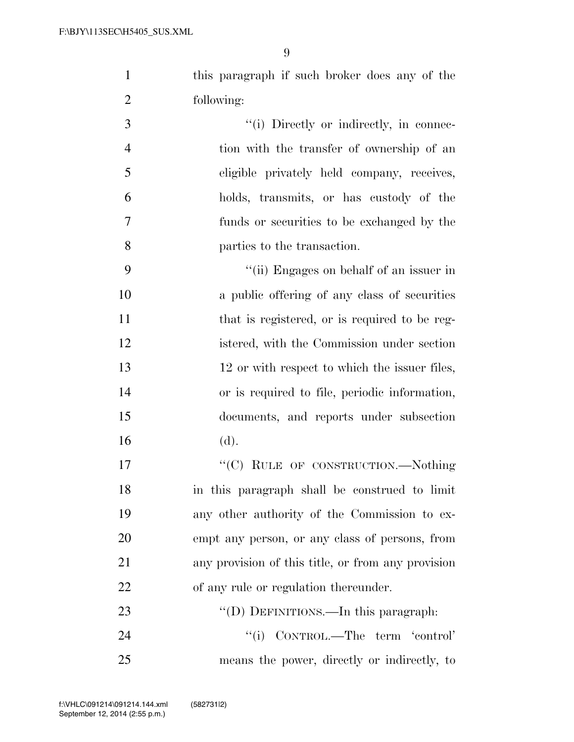this paragraph if such broker does any of the following:

 $(i)$  Directly or indirectly, in connec- tion with the transfer of ownership of an eligible privately held company, receives, holds, transmits, or has custody of the funds or securities to be exchanged by the parties to the transaction.

 ''(ii) Engages on behalf of an issuer in a public offering of any class of securities 11 that is registered, or is required to be reg- istered, with the Commission under section 13 12 or with respect to which the issuer files, or is required to file, periodic information, documents, and reports under subsection (d).

17 "'(C) RULE OF CONSTRUCTION.—Nothing in this paragraph shall be construed to limit any other authority of the Commission to ex- empt any person, or any class of persons, from any provision of this title, or from any provision of any rule or regulation thereunder.

23 "'(D) DEFINITIONS.—In this paragraph: 24 "(i) CONTROL.—The term 'control' means the power, directly or indirectly, to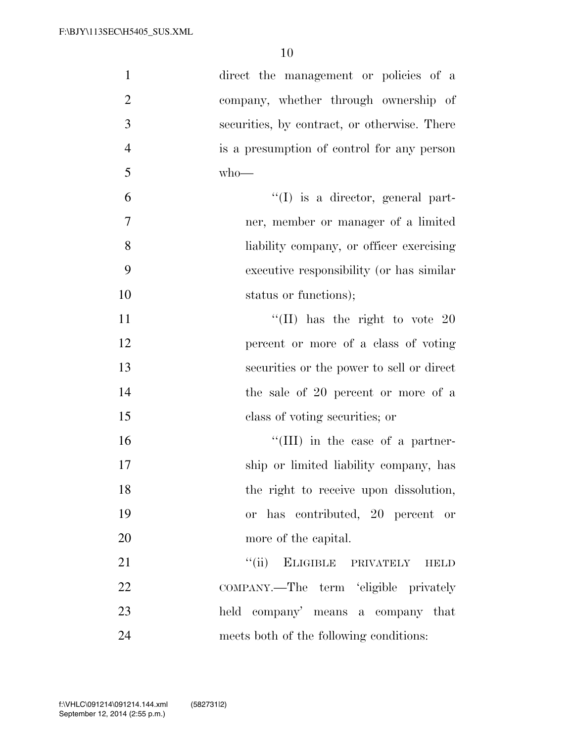| $\mathbf{1}$   | direct the management or policies of a       |
|----------------|----------------------------------------------|
| $\overline{2}$ | company, whether through ownership of        |
| 3              | securities, by contract, or otherwise. There |
| $\overline{4}$ | is a presumption of control for any person   |
| 5              | $who$ —                                      |
| 6              | $\lq\lq$ is a director, general part-        |
| $\tau$         | ner, member or manager of a limited          |
| $8\,$          | liability company, or officer exercising     |
| 9              | executive responsibility (or has similar     |
| 10             | status or functions);                        |
| 11             | "(II) has the right to vote $20$             |
| 12             | percent or more of a class of voting         |
| 13             | securities or the power to sell or direct    |
| 14             | the sale of 20 percent or more of a          |
| 15             | class of voting securities; or               |
| 16             | $\lq\lq$ (III) in the case of a partner-     |
| 17             | ship or limited liability company, has       |
| 18             | the right to receive upon dissolution,       |
| 19             | or has contributed, 20 percent or            |
| 20             | more of the capital.                         |
| 21             | ``(ii)<br>ELIGIBLE PRIVATELY<br><b>HELD</b>  |
| 22             | COMPANY.—The term 'eligible privately        |
| 23             | held company' means a company that           |
| 24             | meets both of the following conditions:      |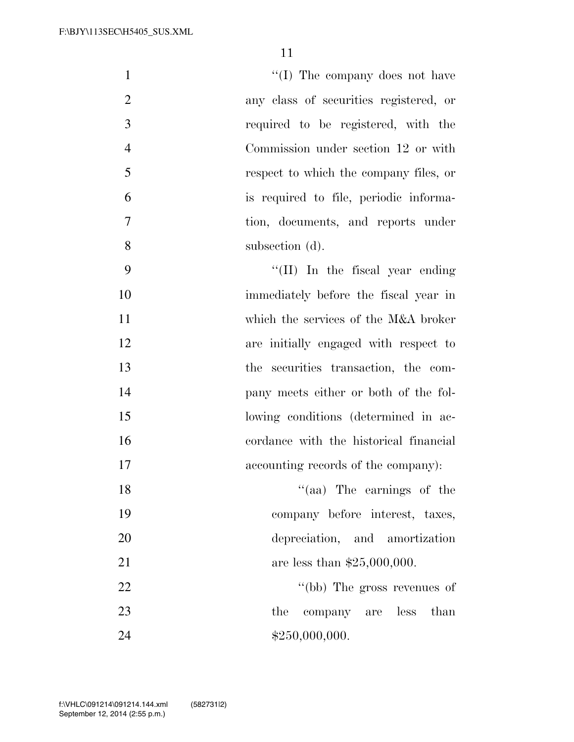| $\mathbf{1}$   | $\lq\lq$ (I) The company does not have  |
|----------------|-----------------------------------------|
| $\overline{2}$ | any class of securities registered, or  |
| 3              | required to be registered, with the     |
| $\overline{4}$ | Commission under section 12 or with     |
| 5              | respect to which the company files, or  |
| 6              | is required to file, periodic informa-  |
| $\overline{7}$ | tion, documents, and reports under      |
| 8              | subsection (d).                         |
| 9              | $\lq\lq$ (II) In the fiscal year ending |
| 10             | immediately before the fiscal year in   |
| 11             | which the services of the M&A broker    |
| 12             | are initially engaged with respect to   |
| 13             | the securities transaction, the com-    |
| 14             | pany meets either or both of the fol-   |
| 15             | lowing conditions (determined in ac-    |
| 16             | cordance with the historical financial  |
| 17             | accounting records of the company):     |
| 18             | $\lq(aa)$ The earnings of the           |
| 19             | company before interest, taxes,         |
| 20             | depreciation, and amortization          |

21 are less than \$25,000,000.

22 ''(bb) The gross revenues of 23 the company are less than  $\text{\$24}\quad \text{\$250,000,000}.$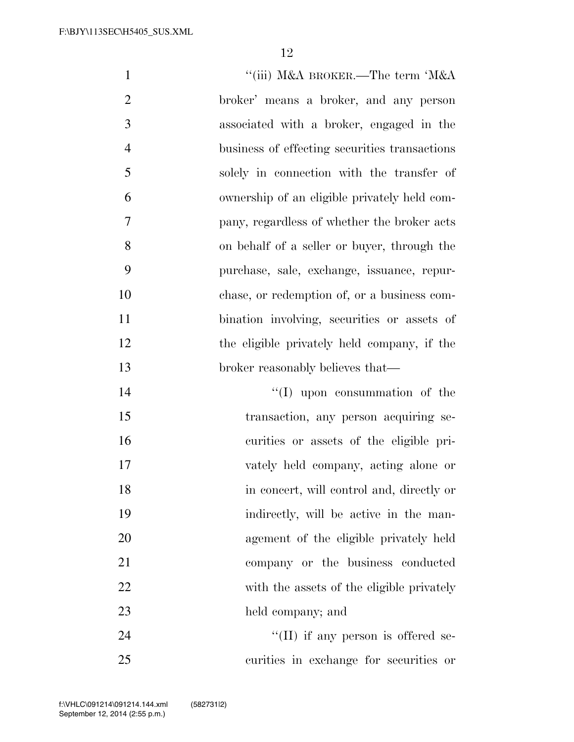| $\mathbf{1}$   | "(iii) M&A BROKER.—The term 'M&A              |
|----------------|-----------------------------------------------|
| $\overline{2}$ | broker' means a broker, and any person        |
| 3              | associated with a broker, engaged in the      |
| $\overline{4}$ | business of effecting securities transactions |
| 5              | solely in connection with the transfer of     |
| 6              | ownership of an eligible privately held com-  |
| 7              | pany, regardless of whether the broker acts   |
| 8              | on behalf of a seller or buyer, through the   |
| 9              | purchase, sale, exchange, issuance, repur-    |
| 10             | chase, or redemption of, or a business com-   |
| 11             | bination involving, securities or assets of   |
| 12             | the eligible privately held company, if the   |
| 13             | broker reasonably believes that—              |
| 14             | $\lq\lq$ (I) upon consummation of the         |
| 15             | transaction, any person acquiring se-         |
| 16             | curities or assets of the eligible pri-       |
| 17             | vately held company, acting alone or          |
| 18             | in concert, will control and, directly or     |
| 19             | indirectly, will be active in the man-        |
| 20             | agement of the eligible privately held        |
| 21             | company or the business conducted             |
| 22             | with the assets of the eligible privately     |
| 23             | held company; and                             |
| $2\pi$         | $H(T)$ if any person is offered se-           |

 ''(II) if any person is offered se-curities in exchange for securities or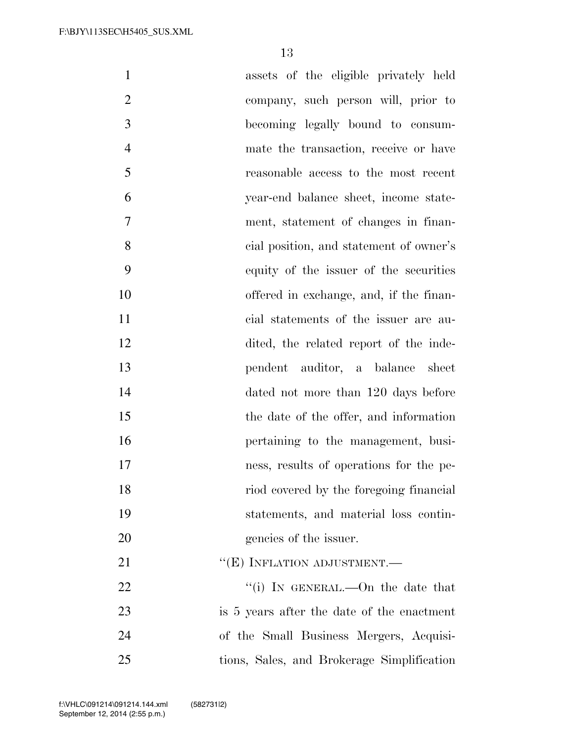| $\mathbf{1}$   | assets of the eligible privately held      |
|----------------|--------------------------------------------|
| $\overline{2}$ | company, such person will, prior to        |
| 3              | becoming legally bound to consum-          |
| $\overline{4}$ | mate the transaction, receive or have      |
| 5              | reasonable access to the most recent       |
| 6              | year-end balance sheet, income state-      |
| 7              | ment, statement of changes in finan-       |
| 8              | cial position, and statement of owner's    |
| 9              | equity of the issuer of the securities     |
| 10             | offered in exchange, and, if the finan-    |
| 11             | cial statements of the issuer are au-      |
| 12             | dited, the related report of the inde-     |
| 13             | pendent auditor, a balance sheet           |
| 14             | dated not more than 120 days before        |
| 15             | the date of the offer, and information     |
| 16             | pertaining to the management, busi-        |
| 17             | ness, results of operations for the pe-    |
| 18             | riod covered by the foregoing financial    |
| 19             | statements, and material loss contin-      |
| 20             | gencies of the issuer.                     |
| 21             | "(E) INFLATION ADJUSTMENT.-                |
| 22             | "(i) IN GENERAL.—On the date that          |
| 23             | is 5 years after the date of the enactment |
| 24             | of the Small Business Mergers, Acquisi-    |
| 25             | tions, Sales, and Brokerage Simplification |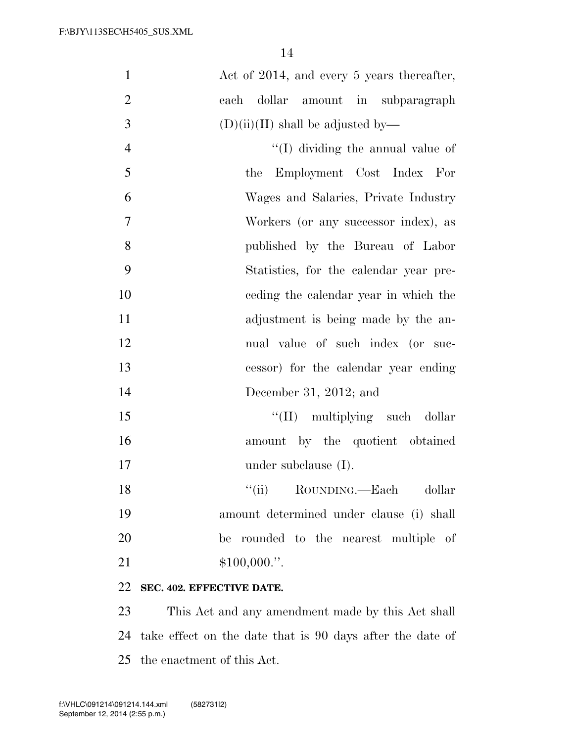| Act of 2014, and every 5 years thereafter, |
|--------------------------------------------|
| dollar amount in subparagraph<br>each      |
| $(D)(ii)(II)$ shall be adjusted by—        |
| $\lq\lq$ (I) dividing the annual value of  |
| Employment Cost Index For<br>the           |
| Wages and Salaries, Private Industry       |
| Workers (or any successor index), as       |
| published by the Bureau of Labor           |
| Statistics, for the calendar year pre-     |
| eeding the calendar year in which the      |
| adjustment is being made by the an-        |
| nual value of such index (or suc-          |
| cessor) for the calendar year ending       |
| December 31, 2012; and                     |
| "(II) multiplying such dollar              |
| amount by the quotient obtained            |
| under subclause $(I)$ .                    |
| ``(ii)<br>ROUNDING.—Each<br>dollar         |
| amount determined under clause (i) shall   |
| be rounded to the nearest multiple of      |
| $$100,000."$ .                             |
| SEC. 402. EFFECTIVE DATE.                  |
|                                            |

23 This Act and any amendment made by this Act shall 24 take effect on the date that is 90 days after the date of 25 the enactment of this Act.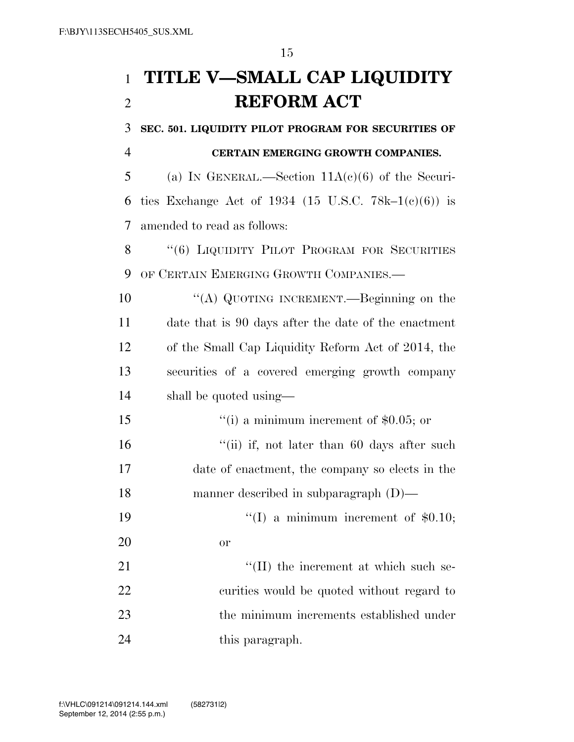## **TITLE V—SMALL CAP LIQUIDITY REFORM ACT**

**SEC. 501. LIQUIDITY PILOT PROGRAM FOR SECURITIES OF** 

## **CERTAIN EMERGING GROWTH COMPANIES.**

5 (a) IN GENERAL.—Section  $11A(c)(6)$  of the Securi-6 ties Exchange Act of 1934 (15 U.S.C. 78k–1(c)(6)) is amended to read as follows:

8 "(6) LIQUIDITY PILOT PROGRAM FOR SECURITIES OF CERTAIN EMERGING GROWTH COMPANIES.—

 ''(A) QUOTING INCREMENT.—Beginning on the date that is 90 days after the date of the enactment of the Small Cap Liquidity Reform Act of 2014, the securities of a covered emerging growth company shall be quoted using—

 $\frac{1}{10}$  a minimum increment of \$0.05; or 16 "(ii) if, not later than 60 days after such date of enactment, the company so elects in the manner described in subparagraph (D)—

19  $\frac{1}{2}$  (I) a minimum increment of \$0.10; or

 $\frac{1}{2}$  (II) the increment at which such se- curities would be quoted without regard to the minimum increments established under 24 this paragraph.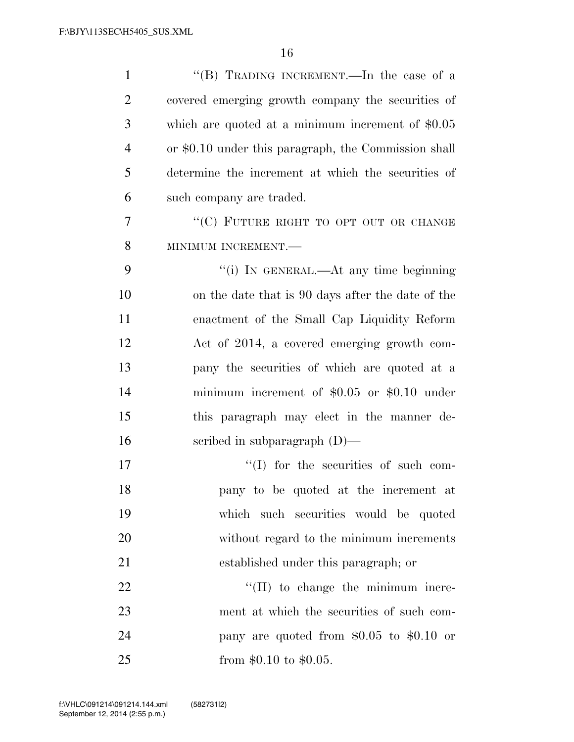| $\mathbf{1}$   | "(B) TRADING INCREMENT.—In the case of a             |
|----------------|------------------------------------------------------|
| $\overline{2}$ | covered emerging growth company the securities of    |
| 3              | which are quoted at a minimum increment of $$0.05$   |
| $\overline{4}$ | or \$0.10 under this paragraph, the Commission shall |
| 5              | determine the increment at which the securities of   |
| 6              | such company are traded.                             |
| 7              | "(C) FUTURE RIGHT TO OPT OUT OR CHANGE               |
| 8              | MINIMUM INCREMENT.-                                  |
| 9              | "(i) IN GENERAL.—At any time beginning               |
| 10             | on the date that is 90 days after the date of the    |
| 11             | enactment of the Small Cap Liquidity Reform          |
| 12             | Act of 2014, a covered emerging growth com-          |
| 13             | pany the securities of which are quoted at a         |
| 14             | minimum increment of $$0.05$ or $$0.10$ under        |
| 15             | this paragraph may elect in the manner de-           |
| 16             | scribed in subparagraph $(D)$ —                      |
| 17             | $\lq\lq$ (I) for the securities of such com-         |
| 18             | pany to be quoted at the increment at                |
| 19             | which such securities would be quoted                |
| 20             | without regard to the minimum increments             |
| 21             | established under this paragraph; or                 |
| 22             | $\lq\lq$ (II) to change the minimum incre-           |
| 23             | ment at which the securities of such com-            |
| 24             | pany are quoted from $$0.05$ to $$0.10$ or           |
| 25             | from $$0.10$ to $$0.05$ .                            |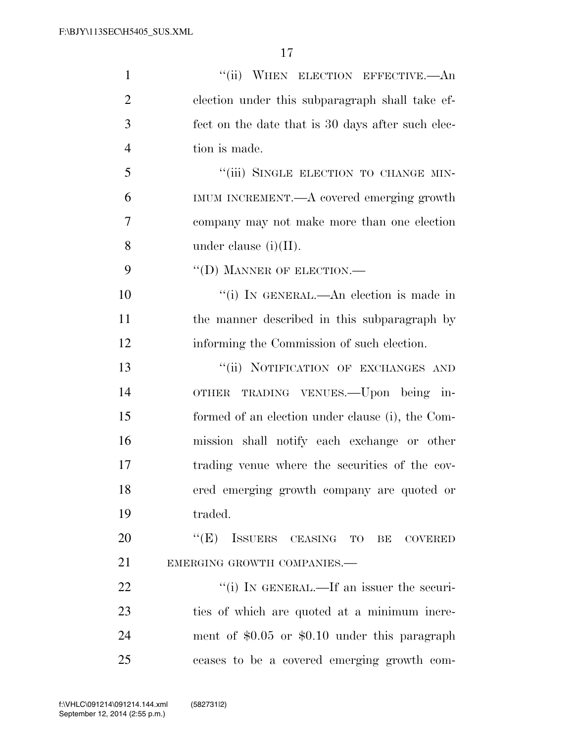| $\mathbf{1}$   | "(ii) WHEN ELECTION EFFECTIVE.—An                 |
|----------------|---------------------------------------------------|
| $\overline{2}$ | election under this subparagraph shall take ef-   |
| 3              | fect on the date that is 30 days after such elec- |
| $\overline{4}$ | tion is made.                                     |
| 5              | "(iii) SINGLE ELECTION TO CHANGE MIN-             |
| 6              | IMUM INCREMENT.—A covered emerging growth         |
| 7              | company may not make more than one election       |
| 8              | under clause $(i)(II)$ .                          |
| 9              | $\lq\lq$ (D) MANNER OF ELECTION.—                 |
| 10             | "(i) IN GENERAL.—An election is made in           |
| 11             | the manner described in this subparagraph by      |
| 12             | informing the Commission of such election.        |
| 13             | "(ii) NOTIFICATION OF EXCHANGES AND               |
| 14             | TRADING VENUES.—Upon being in-<br><b>OTHER</b>    |
| 15             | formed of an election under clause (i), the Com-  |
| 16             | mission shall notify each exchange or other       |
| 17             | trading venue where the securities of the cov-    |
| 18             | ered emerging growth company are quoted or        |
| 19             | traded.                                           |
| 20             | "(E) ISSUERS CEASING TO BE COVERED                |
| 21             | EMERGING GROWTH COMPANIES.-                       |
| 22             | "(i) IN GENERAL.—If an issuer the securi-         |
| 23             | ties of which are quoted at a minimum incre-      |
| 24             | ment of $$0.05$ or $$0.10$ under this paragraph   |
| 25             | ceases to be a covered emerging growth com-       |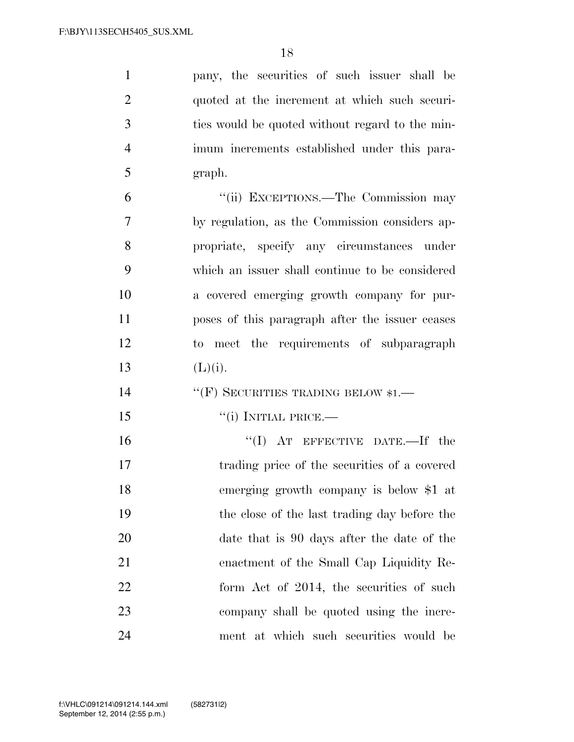| $\mathbf{1}$   | pany, the securities of such issuer shall be    |
|----------------|-------------------------------------------------|
| $\overline{2}$ | quoted at the increment at which such securi-   |
| 3              | ties would be quoted without regard to the min- |
| $\overline{4}$ | imum increments established under this para-    |
| 5              | graph.                                          |
| 6              | "(ii) EXCEPTIONS.—The Commission may            |
| $\overline{7}$ | by regulation, as the Commission considers ap-  |
| 8              | propriate, specify any circumstances under      |
| 9              | which an issuer shall continue to be considered |
| 10             | a covered emerging growth company for pur-      |
| 11             | poses of this paragraph after the issuer ceases |
| 12             | to meet the requirements of subparagraph        |
| 13             | (L)(i).                                         |
| 14             | "(F) SECURITIES TRADING BELOW $*1$ .—           |
| 15             | $``(i)$ INITIAL PRICE.—                         |
| 16             | "(I) AT EFFECTIVE DATE.—If the                  |
| 17             | trading price of the securities of a covered    |
| 18             | emerging growth company is below \$1 at         |
| 19             | the close of the last trading day before the    |
| 20             | date that is 90 days after the date of the      |
| 21             | enactment of the Small Cap Liquidity Re-        |
| 22             | form Act of 2014, the securities of such        |
| 23             | company shall be quoted using the incre-        |
|                |                                                 |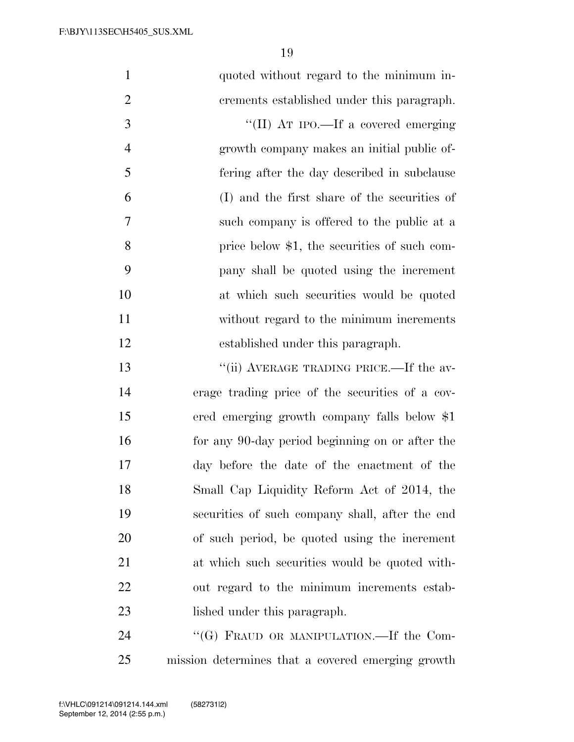| $\mathbf{1}$   | quoted without regard to the minimum in-        |
|----------------|-------------------------------------------------|
| $\overline{2}$ | crements established under this paragraph.      |
| 3              | "(II) AT IPO.—If a covered emerging             |
| $\overline{4}$ | growth company makes an initial public of-      |
| 5              | fering after the day described in subclause     |
| 6              | (I) and the first share of the securities of    |
| 7              | such company is offered to the public at a      |
| 8              | price below \$1, the securities of such com-    |
| 9              | pany shall be quoted using the increment        |
| 10             | at which such securities would be quoted        |
| 11             | without regard to the minimum increments        |
| 12             | established under this paragraph.               |
| 13             | "(ii) AVERAGE TRADING PRICE.—If the av-         |
| 14             | erage trading price of the securities of a cov- |
| 15             | ered emerging growth company falls below \$1    |
| 16             | for any 90-day period beginning on or after the |
| 17             | day before the date of the enactment of the     |
| 18             | Small Cap Liquidity Reform Act of 2014, the     |
| 19             | securities of such company shall, after the end |
| 20             | of such period, be quoted using the increment   |
| 21             | at which such securities would be quoted with-  |
| 22             | out regard to the minimum increments estab-     |
| 23             | lished under this paragraph.                    |
| 24             | "(G) FRAUD OR MANIPULATION.—If the Com-         |

mission determines that a covered emerging growth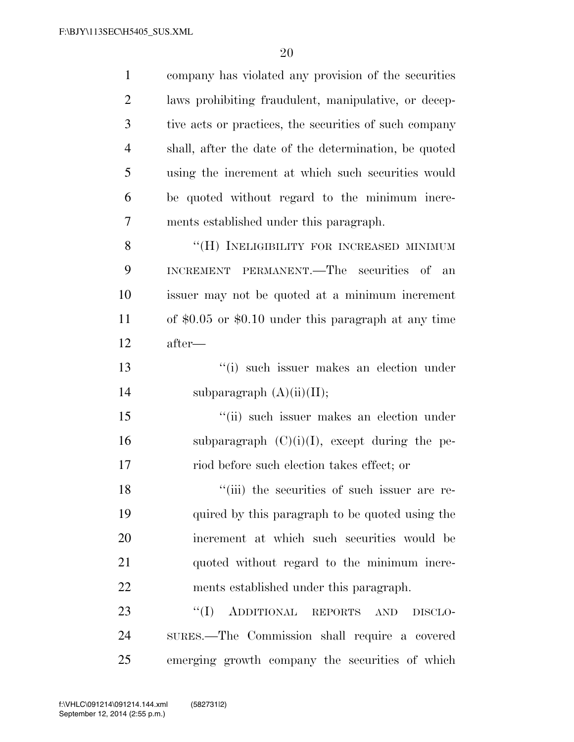| $\mathbf{1}$   | company has violated any provision of the securities        |
|----------------|-------------------------------------------------------------|
| $\overline{2}$ | laws prohibiting fraudulent, manipulative, or decep-        |
| 3              | tive acts or practices, the securities of such company      |
| $\overline{4}$ | shall, after the date of the determination, be quoted       |
| 5              | using the increment at which such securities would          |
| 6              | be quoted without regard to the minimum incre-              |
| 7              | ments established under this paragraph.                     |
| 8              | "(H) INELIGIBILITY FOR INCREASED MINIMUM                    |
| 9              | INCREMENT PERMANENT.—The securities of an                   |
| 10             | issuer may not be quoted at a minimum increment             |
| 11             | of $$0.05$ or $$0.10$ under this paragraph at any time      |
| 12             | after—                                                      |
| 13             | "(i) such issuer makes an election under                    |
| 14             | subparagraph $(A)(ii)(II);$                                 |
| 15             | "(ii) such issuer makes an election under                   |
| 16             | subparagraph $(C)(i)(I)$ , except during the pe-            |
| 17             | riod before such election takes effect; or                  |
| 18             | "(iii) the securities of such issuer are re-                |
| 19             | quired by this paragraph to be quoted using the             |
| 20             | increment at which such securities would be                 |
| 21             | quoted without regard to the minimum incre-                 |
| 22             | ments established under this paragraph.                     |
| 23             | ADDITIONAL REPORTS<br>$\lq\lq (I)$<br><b>AND</b><br>DISCLO- |
| 24             | SURES.—The Commission shall require a covered               |
| 25             | emerging growth company the securities of which             |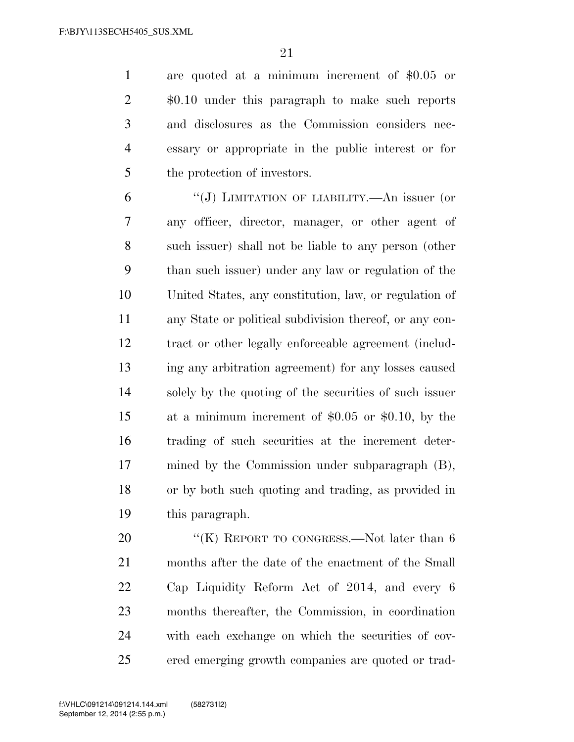are quoted at a minimum increment of \$0.05 or \$0.10 under this paragraph to make such reports and disclosures as the Commission considers nec- essary or appropriate in the public interest or for the protection of investors.

 ''(J) LIMITATION OF LIABILITY.—An issuer (or any officer, director, manager, or other agent of such issuer) shall not be liable to any person (other than such issuer) under any law or regulation of the United States, any constitution, law, or regulation of any State or political subdivision thereof, or any con- tract or other legally enforceable agreement (includ- ing any arbitration agreement) for any losses caused solely by the quoting of the securities of such issuer at a minimum increment of \$0.05 or \$0.10, by the trading of such securities at the increment deter- mined by the Commission under subparagraph (B), or by both such quoting and trading, as provided in this paragraph.

20 "(K) REPORT TO CONGRESS.—Not later than 6 months after the date of the enactment of the Small Cap Liquidity Reform Act of 2014, and every 6 months thereafter, the Commission, in coordination with each exchange on which the securities of cov-ered emerging growth companies are quoted or trad-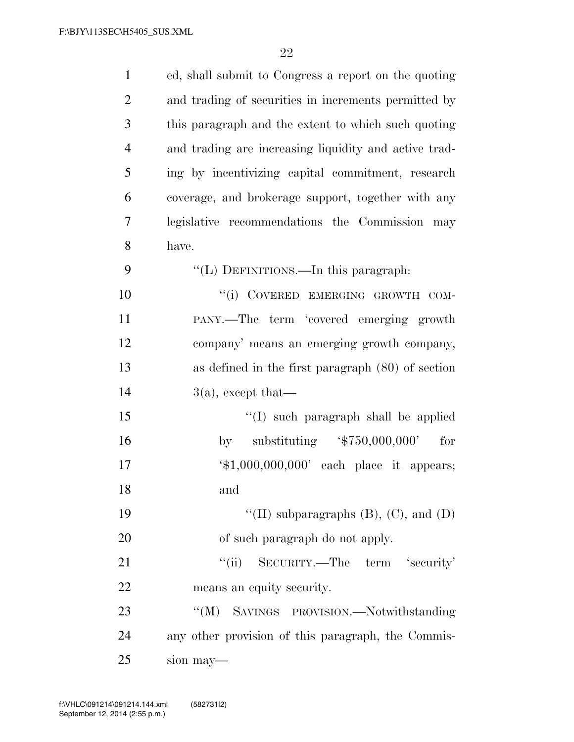| $\mathbf{1}$   | ed, shall submit to Congress a report on the quoting        |
|----------------|-------------------------------------------------------------|
| $\overline{2}$ | and trading of securities in increments permitted by        |
| 3              | this paragraph and the extent to which such quoting         |
| $\overline{4}$ | and trading are increasing liquidity and active trad-       |
| 5              | ing by incentivizing capital commitment, research           |
| 6              | coverage, and brokerage support, together with any          |
| 7              | legislative recommendations the Commission may              |
| 8              | have.                                                       |
| 9              | "(L) DEFINITIONS.—In this paragraph:                        |
| 10             | "(i) COVERED EMERGING GROWTH COM-                           |
| 11             | PANY.—The term 'covered emerging growth                     |
| 12             | company' means an emerging growth company,                  |
| 13             | as defined in the first paragraph $(80)$ of section         |
| 14             | $3(a)$ , except that—                                       |
| 15             | "(I) such paragraph shall be applied                        |
| 16             | substituting $\frac{4}{50,000,000}$<br>for<br>by            |
| 17             | $\text{\textsterling}1,000,000,000'$ each place it appears; |
| 18             | and                                                         |
| 19             | "(II) subparagraphs $(B)$ , $(C)$ , and $(D)$               |
| 20             | of such paragraph do not apply.                             |
| 21             | "(ii) SECURITY.—The term 'security'                         |
| 22             | means an equity security.                                   |
| 23             | ``(M)<br>SAVINGS PROVISION.-Notwithstanding                 |
| 24             | any other provision of this paragraph, the Commis-          |
| 25             | sion may—                                                   |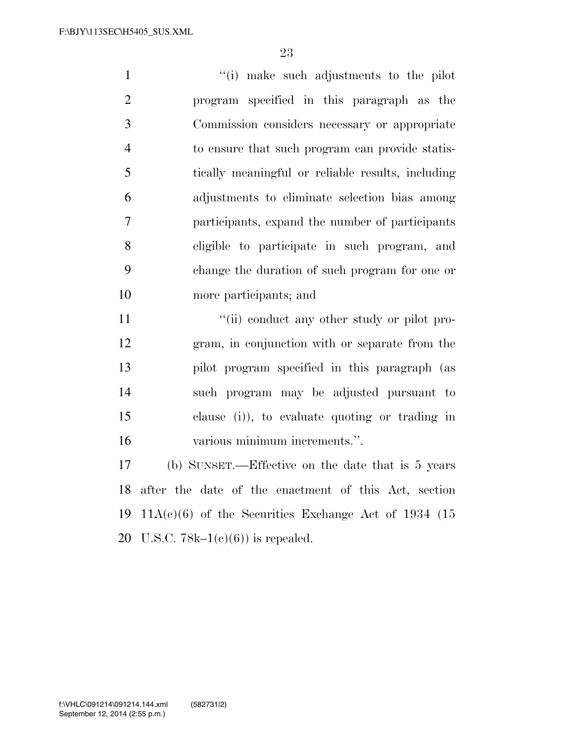''(i) make such adjustments to the pilot program specified in this paragraph as the Commission considers necessary or appropriate to ensure that such program can provide statis- tically meaningful or reliable results, including adjustments to eliminate selection bias among participants, expand the number of participants eligible to participate in such program, and change the duration of such program for one or more participants; and

 $\frac{1}{\sin(\theta)}$  conduct any other study or pilot pro- gram, in conjunction with or separate from the pilot program specified in this paragraph (as such program may be adjusted pursuant to clause (i)), to evaluate quoting or trading in various minimum increments.''.

 (b) SUNSET.—Effective on the date that is 5 years after the date of the enactment of this Act, section  $11A(c)(6)$  of the Securities Exchange Act of 1934 (15 20 U.S.C.  $78k-1(c)(6)$  is repealed.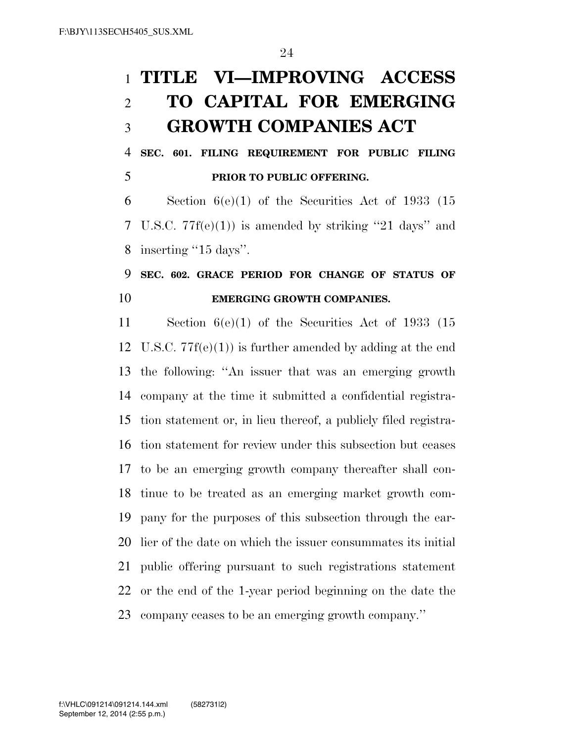## **TITLE VI—IMPROVING ACCESS TO CAPITAL FOR EMERGING GROWTH COMPANIES ACT**

 **SEC. 601. FILING REQUIREMENT FOR PUBLIC FILING PRIOR TO PUBLIC OFFERING.** 

6 Section  $6(e)(1)$  of the Securities Act of 1933 (15 U.S.C. 77f(e)(1)) is amended by striking ''21 days'' and inserting ''15 days''.

## **SEC. 602. GRACE PERIOD FOR CHANGE OF STATUS OF EMERGING GROWTH COMPANIES.**

 Section 6(e)(1) of the Securities Act of 1933 (15 U.S.C. 77f(e)(1)) is further amended by adding at the end the following: ''An issuer that was an emerging growth company at the time it submitted a confidential registra- tion statement or, in lieu thereof, a publicly filed registra- tion statement for review under this subsection but ceases to be an emerging growth company thereafter shall con- tinue to be treated as an emerging market growth com- pany for the purposes of this subsection through the ear- lier of the date on which the issuer consummates its initial public offering pursuant to such registrations statement or the end of the 1-year period beginning on the date the company ceases to be an emerging growth company.''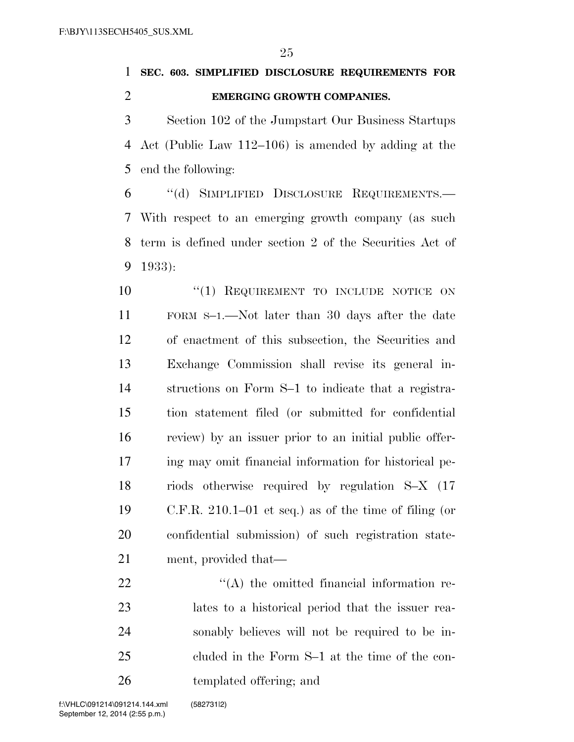**SEC. 603. SIMPLIFIED DISCLOSURE REQUIREMENTS FOR EMERGING GROWTH COMPANIES.** 

 Section 102 of the Jumpstart Our Business Startups Act (Public Law 112–106) is amended by adding at the end the following:

 ''(d) SIMPLIFIED DISCLOSURE REQUIREMENTS.— With respect to an emerging growth company (as such term is defined under section 2 of the Securities Act of 1933):

 $\frac{10}{10}$  Requirement to include notice on FORM S–1.—Not later than 30 days after the date of enactment of this subsection, the Securities and Exchange Commission shall revise its general in- structions on Form S–1 to indicate that a registra- tion statement filed (or submitted for confidential review) by an issuer prior to an initial public offer- ing may omit financial information for historical pe- riods otherwise required by regulation S–X (17 C.F.R. 210.1–01 et seq.) as of the time of filing (or confidential submission) of such registration state-ment, provided that—

 $\langle (A)$  the omitted financial information re- lates to a historical period that the issuer rea- sonably believes will not be required to be in- cluded in the Form S–1 at the time of the con-templated offering; and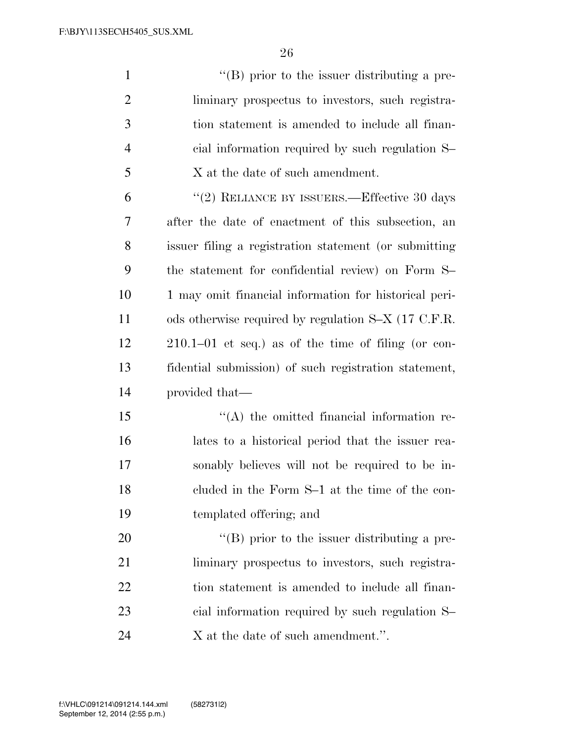| $\mathbf{1}$   | $\lq\lq (B)$ prior to the issuer distributing a pre-  |
|----------------|-------------------------------------------------------|
| $\overline{2}$ | liminary prospectus to investors, such registra-      |
| 3              | tion statement is amended to include all finan-       |
| 4              | cial information required by such regulation S-       |
| 5              | X at the date of such amendment.                      |
| 6              | "(2) RELIANCE BY ISSUERS.—Effective 30 days           |
| 7              | after the date of enactment of this subsection, an    |
| 8              | issuer filing a registration statement (or submitting |
| 9              | the statement for confidential review) on Form S-     |
| 10             | 1 may omit financial information for historical peri- |
| 11             | ods otherwise required by regulation S-X (17 C.F.R.   |
| 12             | $210.1-01$ et seq.) as of the time of filing (or con- |
| 13             | fidential submission) of such registration statement, |
| 14             | provided that—                                        |
| 15             | $\lq\lq$ the omitted financial information re-        |
| 16             | lates to a historical period that the issuer rea-     |
| 17             | sonably believes will not be required to be in-       |
| 18             | cluded in the Form S-1 at the time of the con-        |
| 19             | templated offering; and                               |
| 20             | "(B) prior to the issuer distributing a pre-          |
| 21             | liminary prospectus to investors, such registra-      |
| 22             | tion statement is amended to include all finan-       |
| 23             | cial information required by such regulation S-       |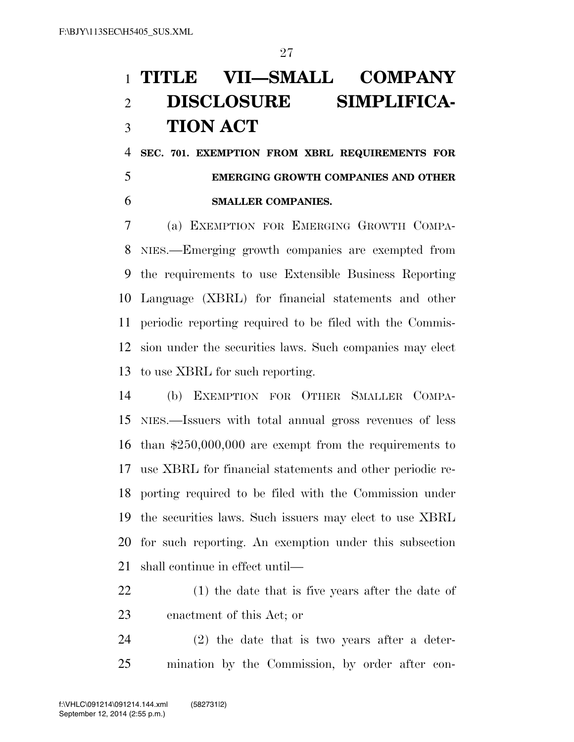# **TITLE VII—SMALL COMPANY DISCLOSURE SIMPLIFICA-TION ACT**

 **SEC. 701. EXEMPTION FROM XBRL REQUIREMENTS FOR EMERGING GROWTH COMPANIES AND OTHER SMALLER COMPANIES.** 

 (a) EXEMPTION FOR EMERGING GROWTH COMPA- NIES.—Emerging growth companies are exempted from the requirements to use Extensible Business Reporting Language (XBRL) for financial statements and other periodic reporting required to be filed with the Commis- sion under the securities laws. Such companies may elect to use XBRL for such reporting.

 (b) EXEMPTION FOR OTHER SMALLER COMPA- NIES.—Issuers with total annual gross revenues of less than \$250,000,000 are exempt from the requirements to use XBRL for financial statements and other periodic re- porting required to be filed with the Commission under the securities laws. Such issuers may elect to use XBRL for such reporting. An exemption under this subsection shall continue in effect until—

- (1) the date that is five years after the date of enactment of this Act; or
- (2) the date that is two years after a deter-mination by the Commission, by order after con-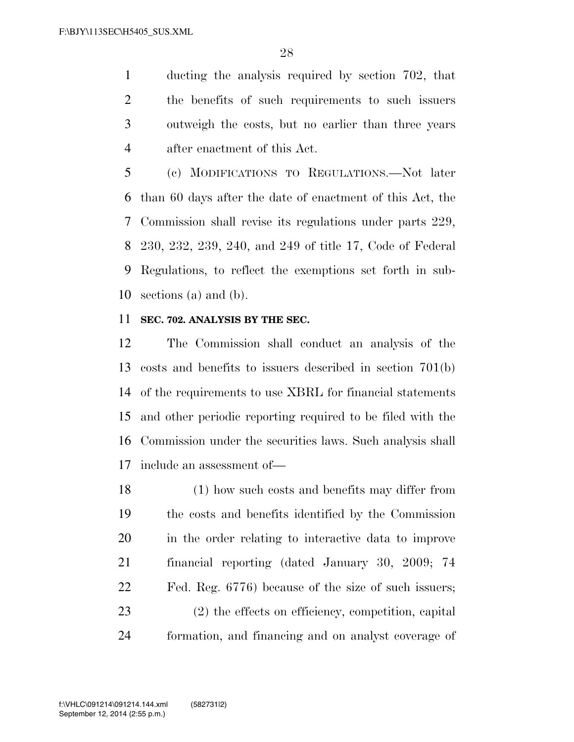ducting the analysis required by section 702, that the benefits of such requirements to such issuers outweigh the costs, but no earlier than three years after enactment of this Act.

 (c) MODIFICATIONS TO REGULATIONS.—Not later than 60 days after the date of enactment of this Act, the Commission shall revise its regulations under parts 229, 230, 232, 239, 240, and 249 of title 17, Code of Federal Regulations, to reflect the exemptions set forth in sub-sections (a) and (b).

## **SEC. 702. ANALYSIS BY THE SEC.**

 The Commission shall conduct an analysis of the costs and benefits to issuers described in section 701(b) of the requirements to use XBRL for financial statements and other periodic reporting required to be filed with the Commission under the securities laws. Such analysis shall include an assessment of—

 (1) how such costs and benefits may differ from the costs and benefits identified by the Commission in the order relating to interactive data to improve financial reporting (dated January 30, 2009; 74 Fed. Reg. 6776) because of the size of such issuers; (2) the effects on efficiency, competition, capital formation, and financing and on analyst coverage of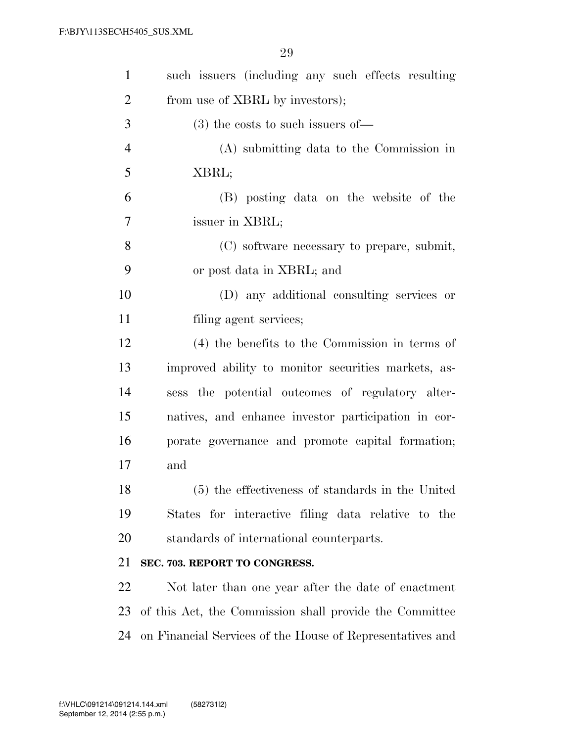| $\mathbf{1}$   | such issuers (including any such effects resulting        |
|----------------|-----------------------------------------------------------|
| $\overline{2}$ | from use of XBRL by investors);                           |
| 3              | $(3)$ the costs to such issuers of —                      |
| $\overline{4}$ | (A) submitting data to the Commission in                  |
| 5              | XBRL;                                                     |
| 6              | (B) posting data on the website of the                    |
| $\overline{7}$ | issuer in XBRL;                                           |
| 8              | (C) software necessary to prepare, submit,                |
| 9              | or post data in XBRL; and                                 |
| 10             | (D) any additional consulting services or                 |
| 11             | filing agent services;                                    |
| 12             | (4) the benefits to the Commission in terms of            |
| 13             | improved ability to monitor securities markets, as-       |
| 14             | sess the potential outcomes of regulatory alter-          |
| 15             | natives, and enhance investor participation in cor-       |
| 16             | porate governance and promote capital formation;          |
| 17             | and                                                       |
| 18             | (5) the effectiveness of standards in the United          |
| 19             | States for interactive filing data relative to the        |
| 20             | standards of international counterparts.                  |
| 21             | SEC. 703. REPORT TO CONGRESS.                             |
| 22             | Not later than one year after the date of enactment       |
| 23             | of this Act, the Commission shall provide the Committee   |
| 24             | on Financial Services of the House of Representatives and |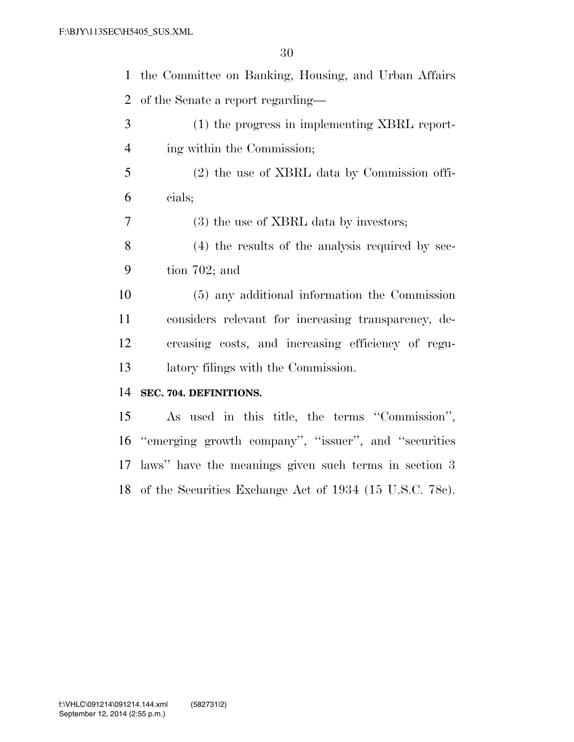the Committee on Banking, Housing, and Urban Affairs of the Senate a report regarding—

 (1) the progress in implementing XBRL report-ing within the Commission;

 (2) the use of XBRL data by Commission offi-cials;

(3) the use of XBRL data by investors;

 (4) the results of the analysis required by sec-tion 702; and

 (5) any additional information the Commission considers relevant for increasing transparency, de- creasing costs, and increasing efficiency of regu-latory filings with the Commission.

### **SEC. 704. DEFINITIONS.**

 As used in this title, the terms ''Commission'', ''emerging growth company'', ''issuer'', and ''securities laws'' have the meanings given such terms in section 3 of the Securities Exchange Act of 1934 (15 U.S.C. 78c).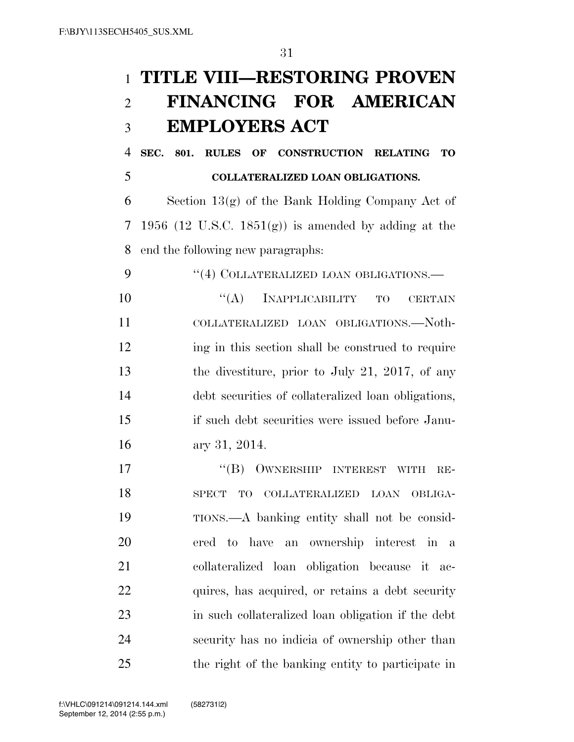# **TITLE VIII—RESTORING PROVEN FINANCING FOR AMERICAN EMPLOYERS ACT**

 **SEC. 801. RULES OF CONSTRUCTION RELATING TO COLLATERALIZED LOAN OBLIGATIONS.** 

 Section 13(g) of the Bank Holding Company Act of 7 1956 (12 U.S.C. 1851 $(g)$ ) is amended by adding at the end the following new paragraphs:

9 "(4) COLLATERALIZED LOAN OBLIGATIONS.— 10 "(A) INAPPLICABILITY TO CERTAIN COLLATERALIZED LOAN OBLIGATIONS.—Noth-12 ing in this section shall be construed to require the divestiture, prior to July 21, 2017, of any debt securities of collateralized loan obligations, if such debt securities were issued before Janu-ary 31, 2014.

17 "(B) OWNERSHIP INTEREST WITH RE- SPECT TO COLLATERALIZED LOAN OBLIGA- TIONS.—A banking entity shall not be consid- ered to have an ownership interest in a collateralized loan obligation because it ac- quires, has acquired, or retains a debt security in such collateralized loan obligation if the debt security has no indicia of ownership other than the right of the banking entity to participate in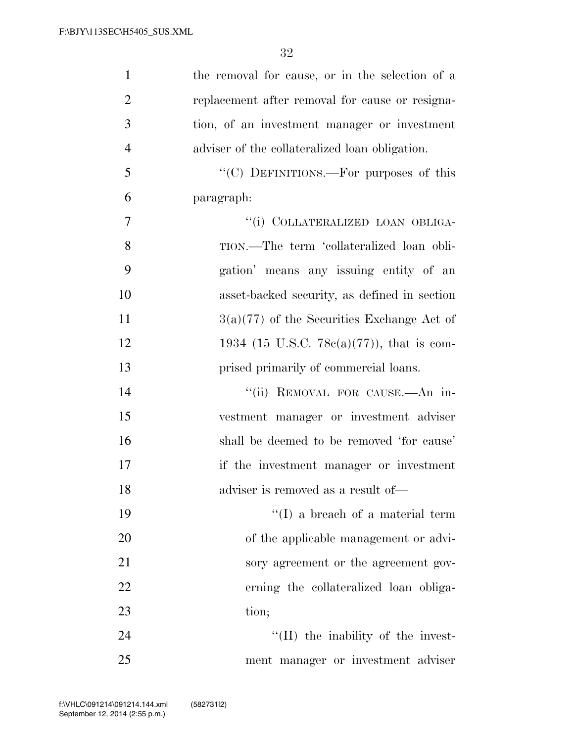| $\mathbf{1}$   | the removal for cause, or in the selection of a |
|----------------|-------------------------------------------------|
| $\overline{2}$ | replacement after removal for cause or resigna- |
| 3              | tion, of an investment manager or investment    |
| $\overline{4}$ | adviser of the collateralized loan obligation.  |
| 5              | "(C) DEFINITIONS.—For purposes of this          |
| 6              | paragraph:                                      |
| 7              | "(i) COLLATERALIZED LOAN OBLIGA-                |
| 8              | TION.—The term 'collateralized loan obli-       |
| 9              | gation' means any issuing entity of an          |
| 10             | asset-backed security, as defined in section    |
| 11             | $3(a)(77)$ of the Securities Exchange Act of    |
| 12             | 1934 (15 U.S.C. 78 $c(a)(77)$ ), that is com-   |
| 13             | prised primarily of commercial loans.           |
| 14             | "(ii) REMOVAL FOR CAUSE.- An in-                |
| 15             | vestment manager or investment adviser          |
| 16             | shall be deemed to be removed 'for cause'       |
| 17             | if the investment manager or investment         |
| 18             | adviser is removed as a result of—              |
| 19             | $\lq\lq$ (I) a breach of a material term        |
| 20             | of the applicable management or advi-           |
| 21             | sory agreement or the agreement gov-            |
| 22             | erning the collateralized loan obliga-          |
| 23             | tion;                                           |
| 24             | $\lq\lq$ (II) the inability of the invest-      |
| 25             | ment manager or investment adviser              |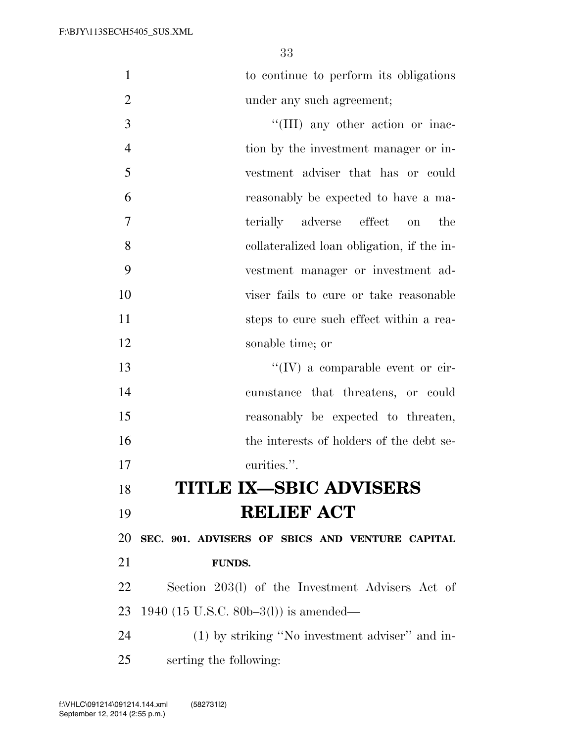to continue to perform its obligations 2 under any such agreement;

 $\frac{1}{(III)}$  any other action or inac- tion by the investment manager or in- vestment adviser that has or could reasonably be expected to have a ma- terially adverse effect on the collateralized loan obligation, if the in- vestment manager or investment ad- viser fails to cure or take reasonable steps to cure such effect within a rea-sonable time; or

 $\frac{1}{2}$  The comparable event or cir- cumstance that threatens, or could reasonably be expected to threaten, the interests of holders of the debt se-curities.''.

## **TITLE IX—SBIC ADVISERS RELIEF ACT**

 **SEC. 901. ADVISERS OF SBICS AND VENTURE CAPITAL FUNDS.** 

 Section 203(l) of the Investment Advisers Act of 1940 (15 U.S.C. 80b–3(l)) is amended—

 (1) by striking ''No investment adviser'' and in-serting the following: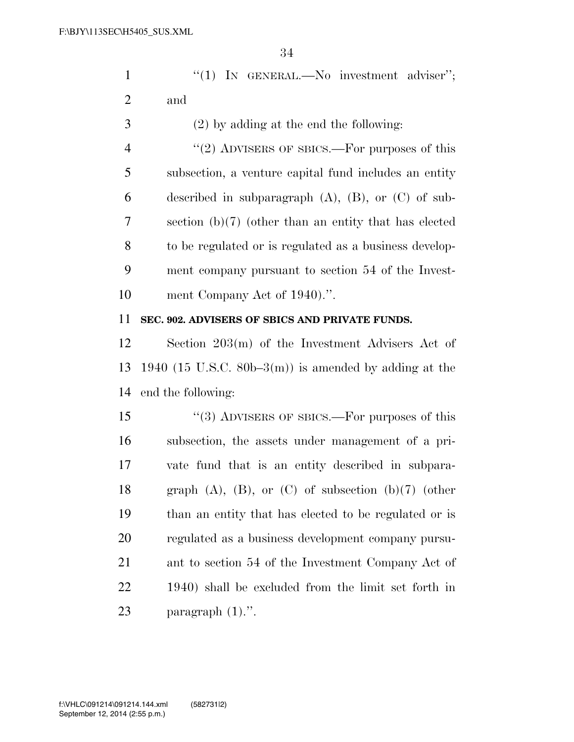|                | 34                                                           |
|----------------|--------------------------------------------------------------|
| $\mathbf{1}$   | "(1) IN GENERAL.—No investment adviser";                     |
| $\overline{2}$ | and                                                          |
| 3              | $(2)$ by adding at the end the following:                    |
| $\overline{4}$ | "(2) ADVISERS OF SBICS.—For purposes of this                 |
| 5              | subsection, a venture capital fund includes an entity        |
| 6              | described in subparagraph $(A)$ , $(B)$ , or $(C)$ of sub-   |
| 7              | section $(b)(7)$ (other than an entity that has elected      |
| 8              | to be regulated or is regulated as a business develop-       |
| 9              | ment company pursuant to section 54 of the Invest-           |
| 10             | ment Company Act of 1940).".                                 |
| 11             | SEC. 902. ADVISERS OF SBICS AND PRIVATE FUNDS.               |
| 12             | Section 203(m) of the Investment Advisers Act of             |
| 13             | 1940 (15 U.S.C. 80b–3(m)) is amended by adding at the        |
| 14             | end the following:                                           |
| 15             | "(3) ADVISERS OF SBICS.—For purposes of this                 |
| 16             | subsection, the assets under management of a pri-            |
| 17             | vate fund that is an entity described in subpara-            |
| 18             | graph $(A)$ , $(B)$ , or $(C)$ of subsection $(b)(7)$ (other |
| 19             | than an entity that has elected to be regulated or is        |
| 20             | regulated as a business development company pursu-           |
| 21             | ant to section 54 of the Investment Company Act of           |
| 22             | 1940) shall be excluded from the limit set forth in          |
| 23             | paragraph $(1)$ .".                                          |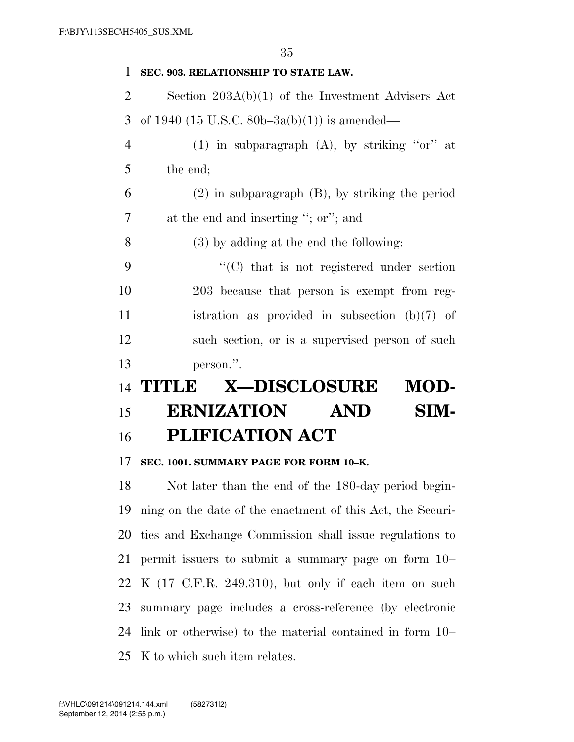| $\mathbf{1}$   | SEC. 903. RELATIONSHIP TO STATE LAW.                       |
|----------------|------------------------------------------------------------|
| $\overline{2}$ | Section $203A(b)(1)$ of the Investment Advisers Act        |
| 3              | of 1940 (15 U.S.C. 80b-3a(b)(1)) is amended—               |
| $\overline{4}$ | (1) in subparagraph (A), by striking "or" at               |
| 5              | the end;                                                   |
| 6              | $(2)$ in subparagraph $(B)$ , by striking the period       |
| 7              | at the end and inserting "; or"; and                       |
| 8              | $(3)$ by adding at the end the following:                  |
| 9              | $\lq\lq$ (C) that is not registered under section          |
| 10             | 203 because that person is exempt from reg-                |
| 11             | istration as provided in subsection $(b)(7)$ of            |
| 12             | such section, or is a supervised person of such            |
| 13             | person.".                                                  |
| 14             | <b>X-DISCLOSURE</b><br>MOD-<br><b>TITLE</b>                |
| 15             | <b>ERNIZATION</b><br>SIM-<br><b>AND</b>                    |
| 16             | <b>PLIFICATION ACT</b>                                     |
| 17             | SEC. 1001. SUMMARY PAGE FOR FORM 10-K.                     |
| 18             | Not later than the end of the 180-day period begin-        |
| 19             | ning on the date of the enactment of this Act, the Securi- |

 ties and Exchange Commission shall issue regulations to permit issuers to submit a summary page on form 10– K (17 C.F.R. 249.310), but only if each item on such summary page includes a cross-reference (by electronic link or otherwise) to the material contained in form 10– K to which such item relates.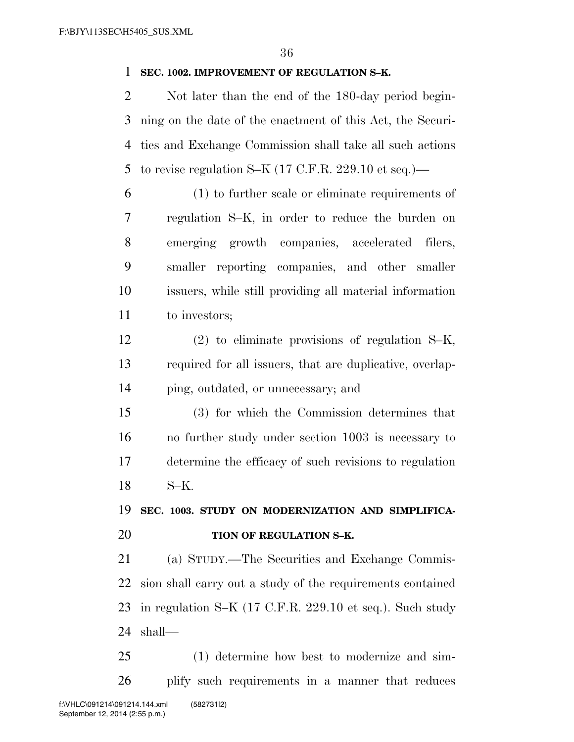## **SEC. 1002. IMPROVEMENT OF REGULATION S–K.**

 Not later than the end of the 180-day period begin- ning on the date of the enactment of this Act, the Securi- ties and Exchange Commission shall take all such actions 5 to revise regulation S–K  $(17 \text{ C.F.R. } 229.10 \text{ et seq.})$ —

 (1) to further scale or eliminate requirements of regulation S–K, in order to reduce the burden on emerging growth companies, accelerated filers, smaller reporting companies, and other smaller issuers, while still providing all material information to investors;

 (2) to eliminate provisions of regulation S–K, required for all issuers, that are duplicative, overlap-ping, outdated, or unnecessary; and

 (3) for which the Commission determines that no further study under section 1003 is necessary to determine the efficacy of such revisions to regulation S–K.

 **SEC. 1003. STUDY ON MODERNIZATION AND SIMPLIFICA-TION OF REGULATION S–K.** 

 (a) STUDY.—The Securities and Exchange Commis- sion shall carry out a study of the requirements contained in regulation S–K (17 C.F.R. 229.10 et seq.). Such study shall—

 (1) determine how best to modernize and sim- plify such requirements in a manner that reduces f:\VHLC\091214\091214.144.xml (582731|2)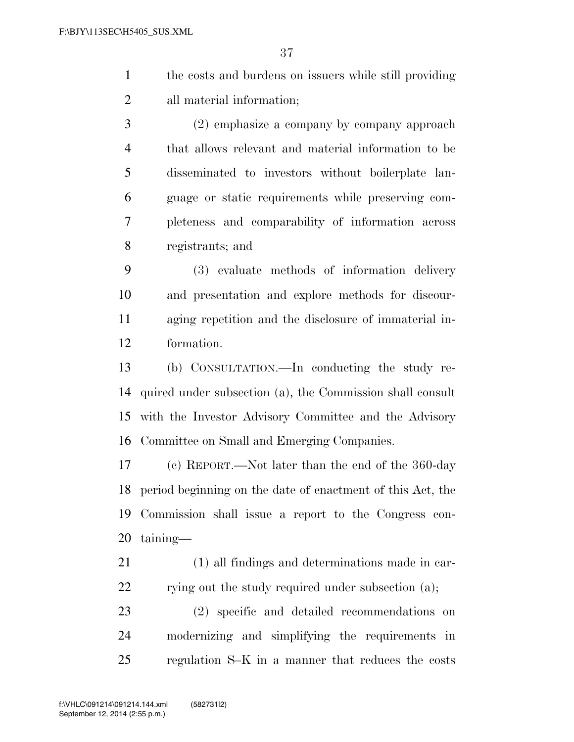- the costs and burdens on issuers while still providing all material information;
- (2) emphasize a company by company approach that allows relevant and material information to be disseminated to investors without boilerplate lan- guage or static requirements while preserving com- pleteness and comparability of information across registrants; and
- (3) evaluate methods of information delivery and presentation and explore methods for discour- aging repetition and the disclosure of immaterial in-formation.
- (b) CONSULTATION.—In conducting the study re- quired under subsection (a), the Commission shall consult with the Investor Advisory Committee and the Advisory Committee on Small and Emerging Companies.
- (c) REPORT.—Not later than the end of the 360-day period beginning on the date of enactment of this Act, the Commission shall issue a report to the Congress con-taining—
- (1) all findings and determinations made in car-22 rying out the study required under subsection (a);
- (2) specific and detailed recommendations on modernizing and simplifying the requirements in regulation S–K in a manner that reduces the costs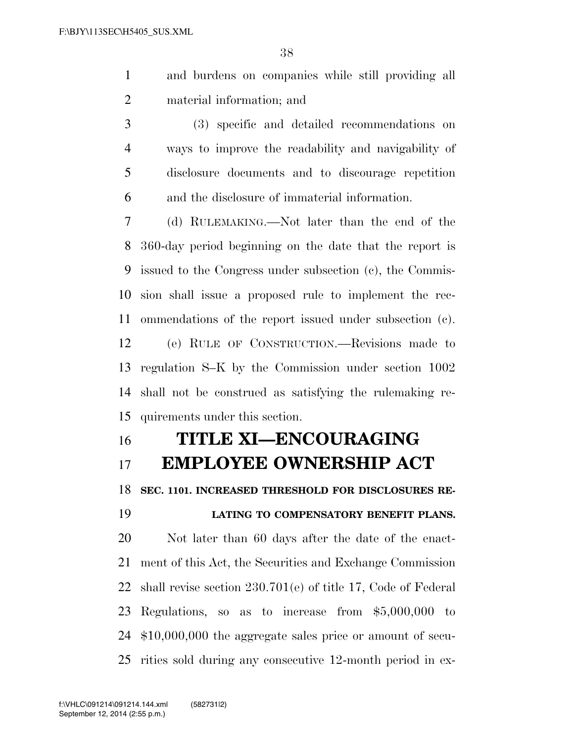- and burdens on companies while still providing all material information; and
- (3) specific and detailed recommendations on ways to improve the readability and navigability of disclosure documents and to discourage repetition and the disclosure of immaterial information.

 (d) RULEMAKING.—Not later than the end of the 360-day period beginning on the date that the report is issued to the Congress under subsection (c), the Commis- sion shall issue a proposed rule to implement the rec-ommendations of the report issued under subsection (c).

 (e) RULE OF CONSTRUCTION.—Revisions made to regulation S–K by the Commission under section 1002 shall not be construed as satisfying the rulemaking re-quirements under this section.

## **TITLE XI—ENCOURAGING**

## **EMPLOYEE OWNERSHIP ACT**

**SEC. 1101. INCREASED THRESHOLD FOR DISCLOSURES RE-**

**LATING TO COMPENSATORY BENEFIT PLANS.** 

 Not later than 60 days after the date of the enact- ment of this Act, the Securities and Exchange Commission shall revise section 230.701(e) of title 17, Code of Federal Regulations, so as to increase from \$5,000,000 to \$10,000,000 the aggregate sales price or amount of secu-rities sold during any consecutive 12-month period in ex-